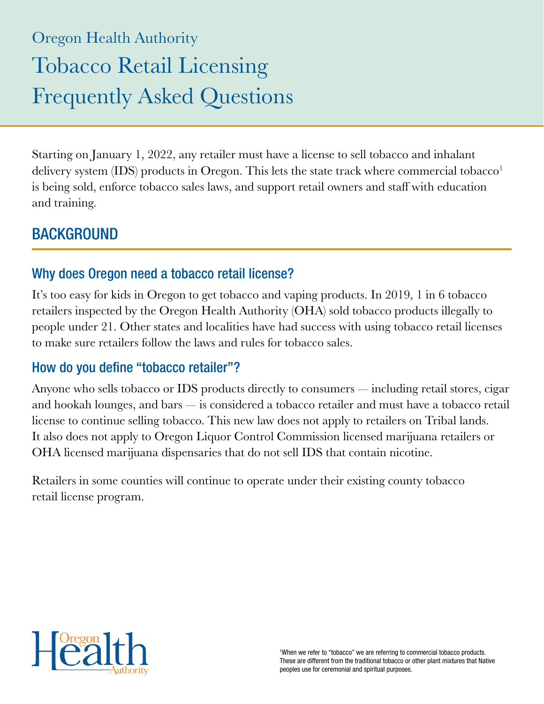# Oregon Health Authority Tobacco Retail Licensing Frequently Asked Questions

Starting on January 1, 2022, any retailer must have a license to sell tobacco and inhalant delivery system (IDS) products in Oregon. This lets the state track where commercial tobacco<sup>1</sup> is being sold, enforce tobacco sales laws, and support retail owners and staff with education and training.

#### **BACKGROUND**

#### Why does Oregon need a tobacco retail license?

It's too easy for kids in Oregon to get tobacco and vaping products. In 2019, 1 in 6 tobacco retailers inspected by the Oregon Health Authority (OHA) sold tobacco products illegally to people under 21. Other states and localities have had success with using tobacco retail licenses to make sure retailers follow the laws and rules for tobacco sales.

#### How do you define "tobacco retailer"?

Anyone who sells tobacco or IDS products directly to consumers — including retail stores, cigar and hookah lounges, and bars — is considered a tobacco retailer and must have a tobacco retail license to continue selling tobacco. This new law does not apply to retailers on Tribal lands. It also does not apply to Oregon Liquor Control Commission licensed marijuana retailers or OHA licensed marijuana dispensaries that do not sell IDS that contain nicotine.

Retailers in some counties will continue to operate under their existing county tobacco retail license program.

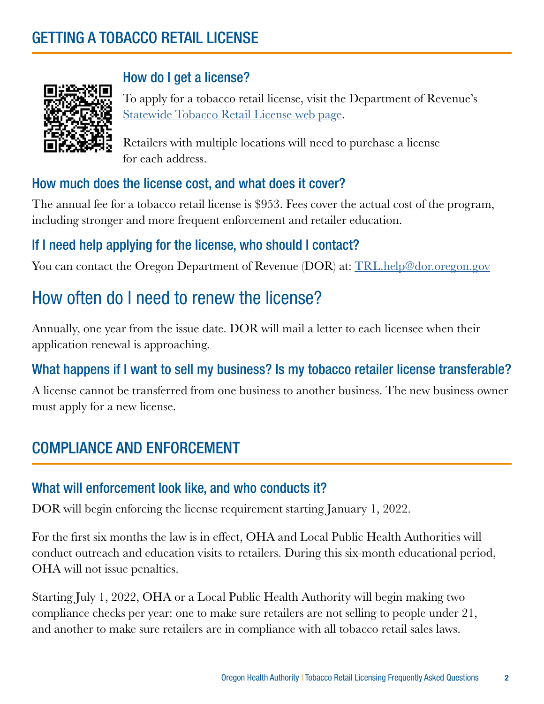# GETTING A TOBACCO RETAIL LICENSE



#### How do I get a license?

To apply for a tobacco retail license, visit the Department of Revenue's [Statewide Tobacco Retail License web page.](https://www.oregon.gov/dor/programs/businesses/Pages/Statewide-Tobacco-Retail-License.aspx)

Retailers with multiple locations will need to purchase a license for each address.

#### How much does the license cost, and what does it cover?

The annual fee for a tobacco retail license is \$953. Fees cover the actual cost of the program, including stronger and more frequent enforcement and retailer education.

#### If I need help applying for the license, who should I contact?

You can contact the Oregon Department of Revenue (DOR) at: [TRL.help@dor.oregon.gov](mailto:TRL.help@dor.oregon.gov)

# How often do I need to renew the license?

Annually, one year from the issue date. DOR will mail a letter to each licensee when their application renewal is approaching.

#### What happens if I want to sell my business? Is my tobacco retailer license transferable?

A license cannot be transferred from one business to another business. The new business owner must apply for a new license.

# COMPLIANCE AND ENFORCEMENT

#### What will enforcement look like, and who conducts it?

DOR will begin enforcing the license requirement starting January 1, 2022.

For the first six months the law is in effect, OHA and Local Public Health Authorities will conduct outreach and education visits to retailers. During this six-month educational period, OHA will not issue penalties.

Starting July 1, 2022, OHA or a Local Public Health Authority will begin making two compliance checks per year: one to make sure retailers are not selling to people under 21, and another to make sure retailers are in compliance with all tobacco retail sales laws.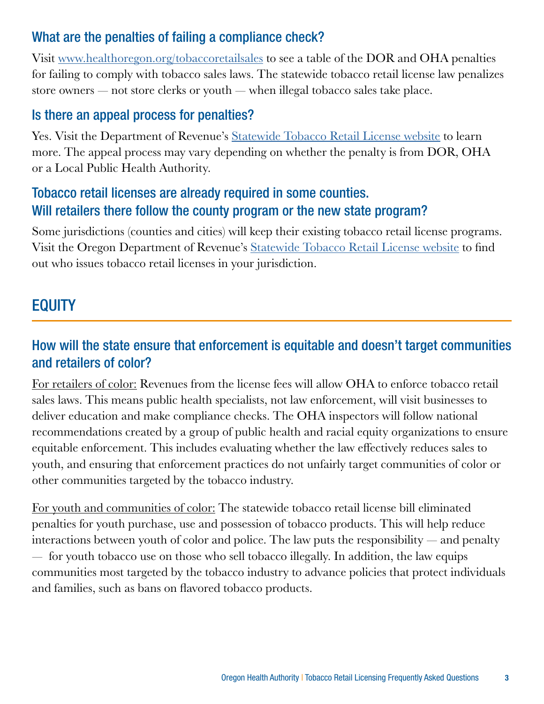#### What are the penalties of failing a compliance check?

Visit [www.healthoregon.org/tobaccoretailsales](https://www.oregon.gov/OHA/PH/PreventionWellness/TobaccoPrevention/Pages/retailcompliance.aspx) to see a table of the DOR and OHA penalties for failing to comply with tobacco sales laws. The statewide tobacco retail license law penalizes store owners — not store clerks or youth — when illegal tobacco sales take place.

#### Is there an appeal process for penalties?

Yes. Visit the Department of Revenue's [Statewide Tobacco Retail License website](https://www.oregon.gov/dor/programs/businesses/Pages/Statewide-Tobacco-Retail-License.aspx) to learn more. The appeal process may vary depending on whether the penalty is from DOR, OHA or a Local Public Health Authority.

#### Tobacco retail licenses are already required in some counties. Will retailers there follow the county program or the new state program?

Some jurisdictions (counties and cities) will keep their existing tobacco retail license programs. Visit the Oregon Department of Revenue's [Statewide Tobacco Retail License website](https://www.oregon.gov/dor/programs/businesses/Pages/Statewide-Tobacco-Retail-License.aspx) to find out who issues tobacco retail licenses in your jurisdiction.

### EQUITY

#### How will the state ensure that enforcement is equitable and doesn't target communities and retailers of color?

For retailers of color: Revenues from the license fees will allow OHA to enforce tobacco retail sales laws. This means public health specialists, not law enforcement, will visit businesses to deliver education and make compliance checks. The OHA inspectors will follow national recommendations created by a group of public health and racial equity organizations to ensure equitable enforcement. This includes evaluating whether the law effectively reduces sales to youth, and ensuring that enforcement practices do not unfairly target communities of color or other communities targeted by the tobacco industry.

For youth and communities of color: The statewide tobacco retail license bill eliminated penalties for youth purchase, use and possession of tobacco products. This will help reduce interactions between youth of color and police. The law puts the responsibility — and penalty — for youth tobacco use on those who sell tobacco illegally. In addition, the law equips communities most targeted by the tobacco industry to advance policies that protect individuals and families, such as bans on flavored tobacco products.